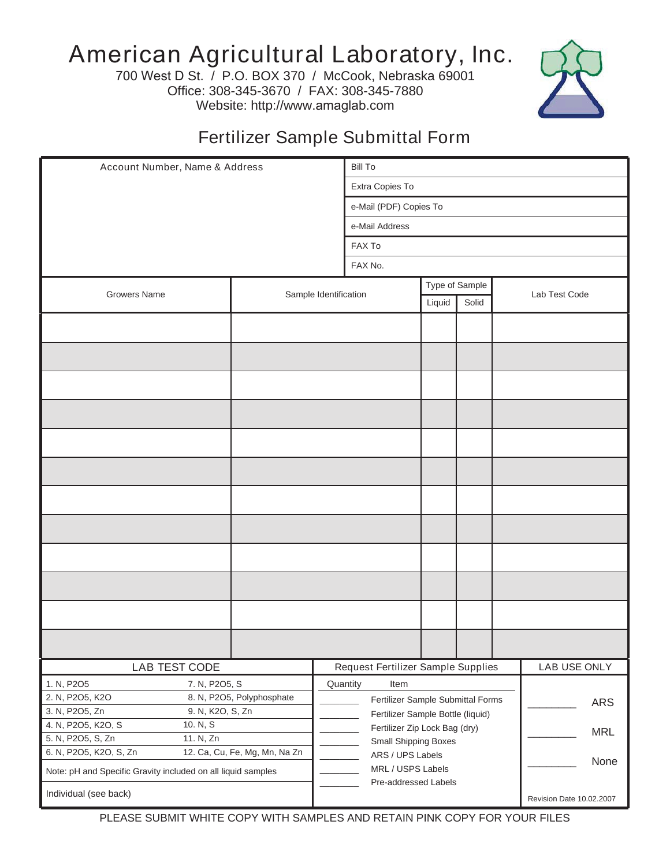## American Agricultural Laboratory, Inc.

700 West D St. / P.O. BOX 370 / McCook, Nebraska 69001 Office: 308-345-3670 / FAX: 308-345-7880 Website: http://www.amaglab.com



## Fertilizer Sample Submittal Form

| Account Number, Name & Address                                              |  | <b>Bill To</b>                     |                                                                        |                                   |  |                          |               |  |
|-----------------------------------------------------------------------------|--|------------------------------------|------------------------------------------------------------------------|-----------------------------------|--|--------------------------|---------------|--|
|                                                                             |  |                                    | Extra Copies To                                                        |                                   |  |                          |               |  |
|                                                                             |  |                                    | e-Mail (PDF) Copies To                                                 |                                   |  |                          |               |  |
|                                                                             |  |                                    | e-Mail Address                                                         |                                   |  |                          |               |  |
|                                                                             |  |                                    | FAX To                                                                 |                                   |  |                          |               |  |
|                                                                             |  |                                    | FAX No.                                                                |                                   |  |                          |               |  |
|                                                                             |  |                                    |                                                                        |                                   |  |                          |               |  |
| <b>Growers Name</b>                                                         |  | Sample Identification              |                                                                        | Type of Sample<br>Solid<br>Liquid |  |                          | Lab Test Code |  |
|                                                                             |  |                                    |                                                                        |                                   |  |                          |               |  |
|                                                                             |  |                                    |                                                                        |                                   |  |                          |               |  |
|                                                                             |  |                                    |                                                                        |                                   |  |                          |               |  |
|                                                                             |  |                                    |                                                                        |                                   |  |                          |               |  |
|                                                                             |  |                                    |                                                                        |                                   |  |                          |               |  |
|                                                                             |  |                                    |                                                                        |                                   |  |                          |               |  |
|                                                                             |  |                                    |                                                                        |                                   |  |                          |               |  |
|                                                                             |  |                                    |                                                                        |                                   |  |                          |               |  |
|                                                                             |  |                                    |                                                                        |                                   |  |                          |               |  |
|                                                                             |  |                                    |                                                                        |                                   |  |                          |               |  |
|                                                                             |  |                                    |                                                                        |                                   |  |                          |               |  |
|                                                                             |  |                                    |                                                                        |                                   |  |                          |               |  |
|                                                                             |  |                                    |                                                                        |                                   |  |                          |               |  |
|                                                                             |  |                                    |                                                                        |                                   |  |                          |               |  |
|                                                                             |  |                                    |                                                                        |                                   |  |                          |               |  |
|                                                                             |  |                                    |                                                                        |                                   |  |                          |               |  |
|                                                                             |  |                                    |                                                                        |                                   |  |                          |               |  |
| LAB TEST CODE                                                               |  | Request Fertilizer Sample Supplies |                                                                        |                                   |  |                          | LAB USE ONLY  |  |
| 1. N, P2O5<br>7. N, P2O5, S<br>2. N, P2O5, K2O<br>8. N, P2O5, Polyphosphate |  |                                    | Quantity<br>Item                                                       |                                   |  |                          |               |  |
| 3. N, P2O5, Zn<br>9. N, K2O, S, Zn                                          |  |                                    | Fertilizer Sample Submittal Forms<br>Fertilizer Sample Bottle (liquid) |                                   |  |                          | ARS           |  |
| 4. N, P2O5, K2O, S<br>10. N, S                                              |  |                                    | Fertilizer Zip Lock Bag (dry)                                          |                                   |  |                          | <b>MRL</b>    |  |
| 5. N, P2O5, S, Zn<br>11. N, Zn                                              |  |                                    | Small Shipping Boxes                                                   |                                   |  |                          |               |  |
| 6. N, P2O5, K2O, S, Zn<br>12. Ca, Cu, Fe, Mg, Mn, Na Zn                     |  |                                    | ARS / UPS Labels                                                       |                                   |  |                          | None          |  |
| Note: pH and Specific Gravity included on all liquid samples                |  |                                    | MRL / USPS Labels<br>Pre-addressed Labels                              |                                   |  |                          |               |  |
| Individual (see back)                                                       |  |                                    |                                                                        |                                   |  | Revision Date 10.02.2007 |               |  |

PLEASE SUBMIT WHITE COPY WITH SAMPLES AND RETAIN PINK COPY FOR YOUR FILES